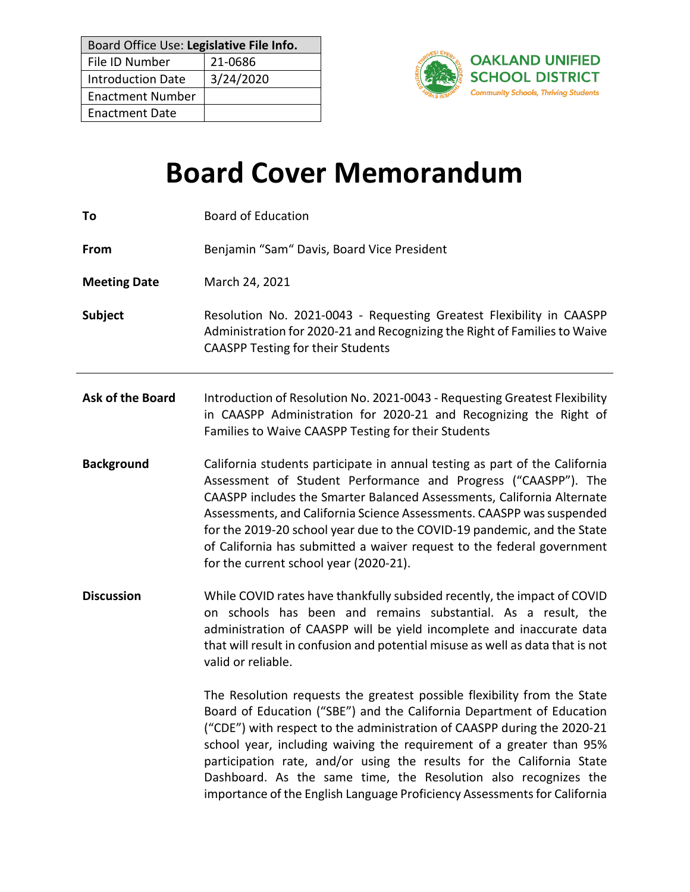| Board Office Use: Legislative File Info. |           |  |
|------------------------------------------|-----------|--|
| File ID Number                           | 21-0686   |  |
| <b>Introduction Date</b>                 | 3/24/2020 |  |
| <b>Enactment Number</b>                  |           |  |
| <b>Enactment Date</b>                    |           |  |



# **Board Cover Memorandum**

| To                  | <b>Board of Education</b>                                                                                                                                                                                                                                                                                                                                                                                                                                                                                                     |  |
|---------------------|-------------------------------------------------------------------------------------------------------------------------------------------------------------------------------------------------------------------------------------------------------------------------------------------------------------------------------------------------------------------------------------------------------------------------------------------------------------------------------------------------------------------------------|--|
| From                | Benjamin "Sam" Davis, Board Vice President                                                                                                                                                                                                                                                                                                                                                                                                                                                                                    |  |
| <b>Meeting Date</b> | March 24, 2021                                                                                                                                                                                                                                                                                                                                                                                                                                                                                                                |  |
| Subject             | Resolution No. 2021-0043 - Requesting Greatest Flexibility in CAASPP<br>Administration for 2020-21 and Recognizing the Right of Families to Waive<br><b>CAASPP Testing for their Students</b>                                                                                                                                                                                                                                                                                                                                 |  |
| Ask of the Board    | Introduction of Resolution No. 2021-0043 - Requesting Greatest Flexibility<br>in CAASPP Administration for 2020-21 and Recognizing the Right of<br>Families to Waive CAASPP Testing for their Students                                                                                                                                                                                                                                                                                                                        |  |
| <b>Background</b>   | California students participate in annual testing as part of the California<br>Assessment of Student Performance and Progress ("CAASPP"). The<br>CAASPP includes the Smarter Balanced Assessments, California Alternate<br>Assessments, and California Science Assessments. CAASPP was suspended<br>for the 2019-20 school year due to the COVID-19 pandemic, and the State<br>of California has submitted a waiver request to the federal government<br>for the current school year (2020-21).                               |  |
| <b>Discussion</b>   | While COVID rates have thankfully subsided recently, the impact of COVID<br>on schools has been and remains substantial. As a result, the<br>administration of CAASPP will be yield incomplete and inaccurate data<br>that will result in confusion and potential misuse as well as data that is not<br>valid or reliable.                                                                                                                                                                                                    |  |
|                     | The Resolution requests the greatest possible flexibility from the State<br>Board of Education ("SBE") and the California Department of Education<br>("CDE") with respect to the administration of CAASPP during the 2020-21<br>school year, including waiving the requirement of a greater than 95%<br>participation rate, and/or using the results for the California State<br>Dashboard. As the same time, the Resolution also recognizes the<br>importance of the English Language Proficiency Assessments for California |  |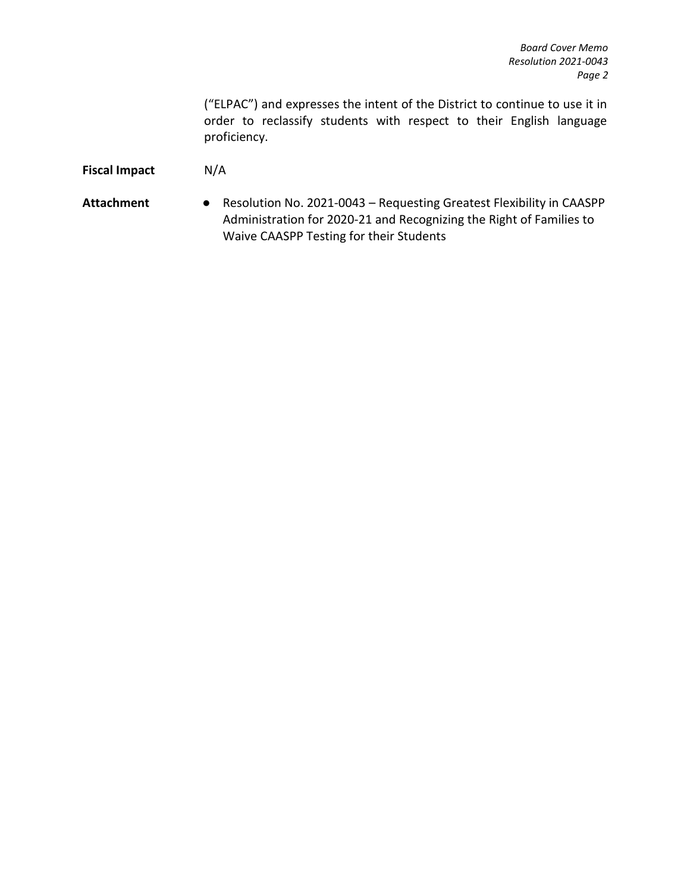("ELPAC") and expresses the intent of the District to continue to use it in order to reclassify students with respect to their English language proficiency.

## **Fiscal Impact** N/A

**Attachment** ● Resolution No. 2021-0043 – Requesting Greatest Flexibility in CAASPP Administration for 2020-21 and Recognizing the Right of Families to Waive CAASPP Testing for their Students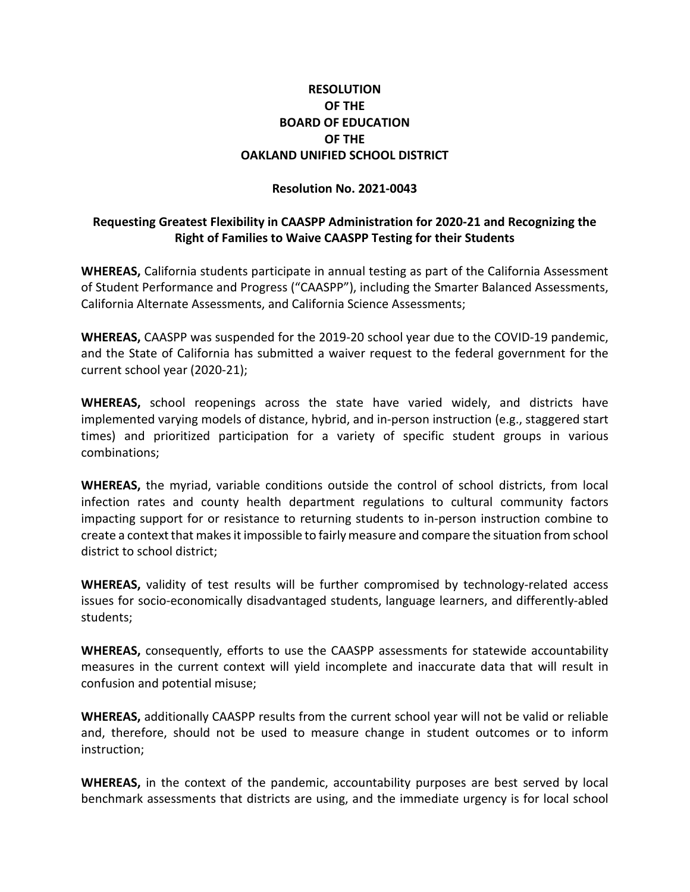## **RESOLUTION OF THE BOARD OF EDUCATION OF THE OAKLAND UNIFIED SCHOOL DISTRICT**

#### **Resolution No. 2021-0043**

### **Requesting Greatest Flexibility in CAASPP Administration for 2020-21 and Recognizing the Right of Families to Waive CAASPP Testing for their Students**

**WHEREAS,** California students participate in annual testing as part of the California Assessment of Student Performance and Progress ("CAASPP"), including the Smarter Balanced Assessments, California Alternate Assessments, and California Science Assessments;

**WHEREAS,** CAASPP was suspended for the 2019-20 school year due to the COVID-19 pandemic, and the State of California has submitted a waiver request to the federal government for the current school year (2020-21);

**WHEREAS,** school reopenings across the state have varied widely, and districts have implemented varying models of distance, hybrid, and in-person instruction (e.g., staggered start times) and prioritized participation for a variety of specific student groups in various combinations;

**WHEREAS,** the myriad, variable conditions outside the control of school districts, from local infection rates and county health department regulations to cultural community factors impacting support for or resistance to returning students to in-person instruction combine to create a context that makes it impossible to fairly measure and compare the situation from school district to school district;

**WHEREAS,** validity of test results will be further compromised by technology-related access issues for socio-economically disadvantaged students, language learners, and differently-abled students;

**WHEREAS,** consequently, efforts to use the CAASPP assessments for statewide accountability measures in the current context will yield incomplete and inaccurate data that will result in confusion and potential misuse;

**WHEREAS,** additionally CAASPP results from the current school year will not be valid or reliable and, therefore, should not be used to measure change in student outcomes or to inform instruction;

**WHEREAS,** in the context of the pandemic, accountability purposes are best served by local benchmark assessments that districts are using, and the immediate urgency is for local school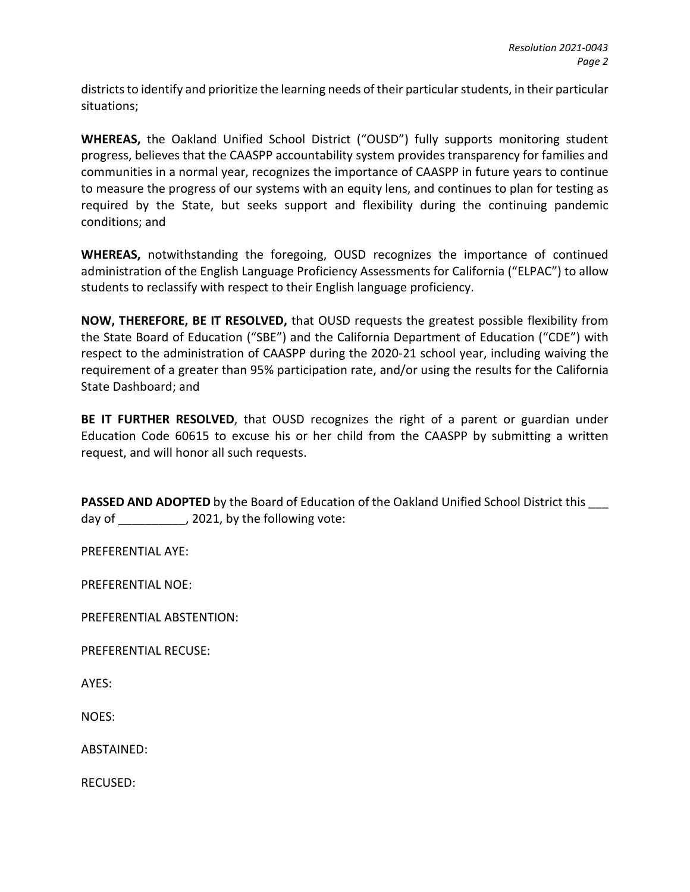districts to identify and prioritize the learning needs of their particular students, in their particular situations;

**WHEREAS,** the Oakland Unified School District ("OUSD") fully supports monitoring student progress, believes that the CAASPP accountability system provides transparency for families and communities in a normal year, recognizes the importance of CAASPP in future years to continue to measure the progress of our systems with an equity lens, and continues to plan for testing as required by the State, but seeks support and flexibility during the continuing pandemic conditions; and

**WHEREAS,** notwithstanding the foregoing, OUSD recognizes the importance of continued administration of the English Language Proficiency Assessments for California ("ELPAC") to allow students to reclassify with respect to their English language proficiency.

**NOW, THEREFORE, BE IT RESOLVED,** that OUSD requests the greatest possible flexibility from the State Board of Education ("SBE") and the California Department of Education ("CDE") with respect to the administration of CAASPP during the 2020-21 school year, including waiving the requirement of a greater than 95% participation rate, and/or using the results for the California State Dashboard; and

**BE IT FURTHER RESOLVED**, that OUSD recognizes the right of a parent or guardian under Education Code 60615 to excuse his or her child from the CAASPP by submitting a written request, and will honor all such requests.

**PASSED AND ADOPTED** by the Board of Education of the Oakland Unified School District this \_\_\_ day of  $\qquad \qquad$ , 2021, by the following vote:

PREFERENTIAL AYE:

PREFERENTIAL NOE:

PREFERENTIAL ABSTENTION:

PREFERENTIAL RECUSE:

AYES:

NOES:

ABSTAINED:

RECUSED: